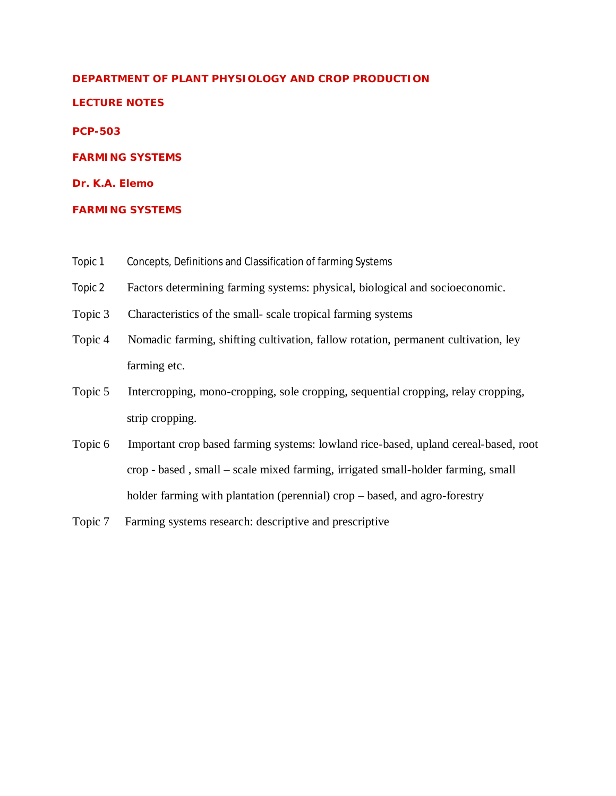#### **DEPARTMENT OF PLANT PHYSIOLOGY AND CROP PRODUCTION**

#### **LECTURE NOTES**

#### **PCP-503**

#### **FARMING SYSTEMS**

#### **Dr. K.A. Elemo**

#### **FARMING SYSTEMS**

- Topic 1 Concepts, Definitions and Classification of farming Systems
- Topic 2 Factors determining farming systems: physical, biological and socioeconomic.
- Topic 3 Characteristics of the small- scale tropical farming systems
- Topic 4 Nomadic farming, shifting cultivation, fallow rotation, permanent cultivation, ley farming etc.
- Topic 5 Intercropping, mono-cropping, sole cropping, sequential cropping, relay cropping, strip cropping.
- Topic 6 Important crop based farming systems: lowland rice-based, upland cereal-based, root crop - based , small – scale mixed farming, irrigated small-holder farming, small holder farming with plantation (perennial) crop – based, and agro-forestry
- Topic 7 Farming systems research: descriptive and prescriptive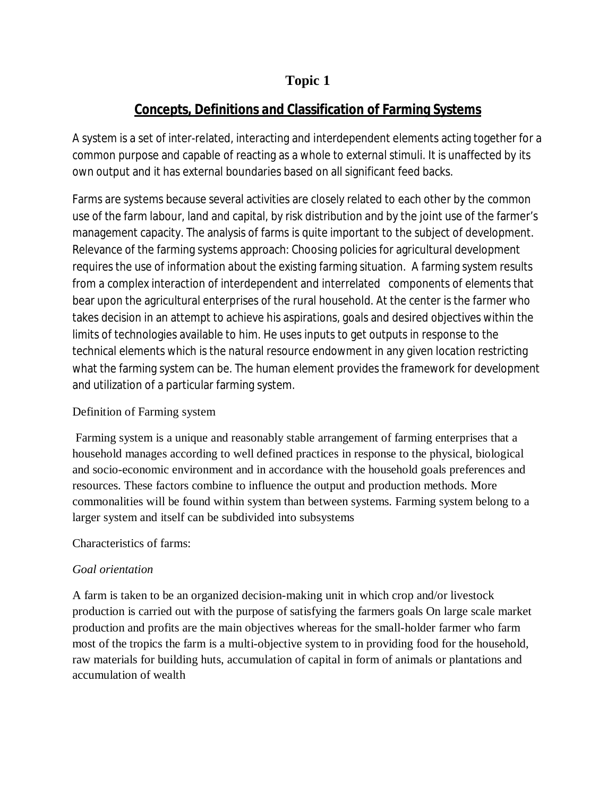# **Concepts, Definitions and Classification of Farming Systems**

A system is a set of inter-related, interacting and interdependent elements acting together for a common purpose and capable of reacting as a whole to external stimuli. It is unaffected by its own output and it has external boundaries based on all significant feed backs.

Farms are systems because several activities are closely related to each other by the common use of the farm labour, land and capital, by risk distribution and by the joint use of the farmer's management capacity. The analysis of farms is quite important to the subject of development. Relevance of the farming systems approach: Choosing policies for agricultural development requires the use of information about the existing farming situation. A farming system results from a complex interaction of interdependent and interrelated components of elements that bear upon the agricultural enterprises of the rural household. At the center is the farmer who takes decision in an attempt to achieve his aspirations, goals and desired objectives within the limits of technologies available to him. He uses inputs to get outputs in response to the technical elements which is the natural resource endowment in any given location restricting what the farming system can be. The human element provides the framework for development and utilization of a particular farming system.

## Definition of Farming system

Farming system is a unique and reasonably stable arrangement of farming enterprises that a household manages according to well defined practices in response to the physical, biological and socio-economic environment and in accordance with the household goals preferences and resources. These factors combine to influence the output and production methods. More commonalities will be found within system than between systems. Farming system belong to a larger system and itself can be subdivided into subsystems

## Characteristics of farms:

# *Goal orientation*

A farm is taken to be an organized decision-making unit in which crop and/or livestock production is carried out with the purpose of satisfying the farmers goals On large scale market production and profits are the main objectives whereas for the small-holder farmer who farm most of the tropics the farm is a multi-objective system to in providing food for the household, raw materials for building huts, accumulation of capital in form of animals or plantations and accumulation of wealth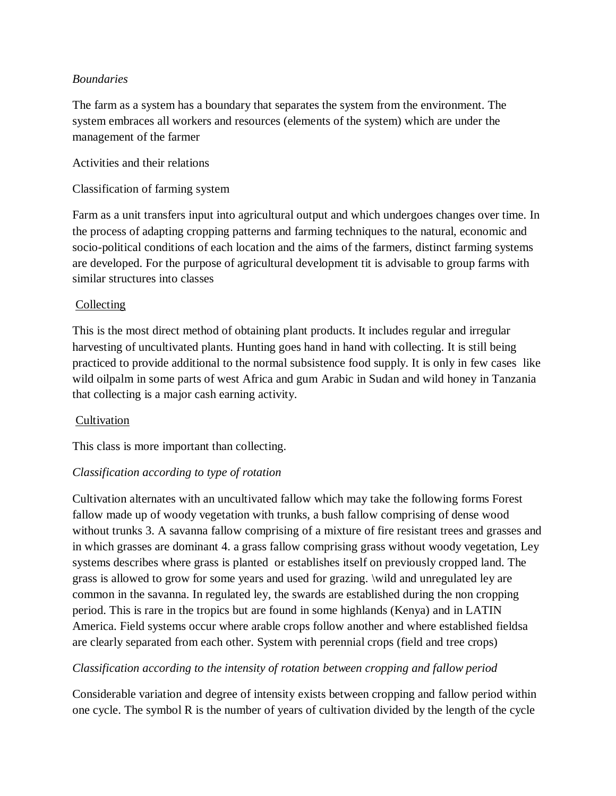#### *Boundaries*

The farm as a system has a boundary that separates the system from the environment. The system embraces all workers and resources (elements of the system) which are under the management of the farmer

Activities and their relations

Classification of farming system

Farm as a unit transfers input into agricultural output and which undergoes changes over time. In the process of adapting cropping patterns and farming techniques to the natural, economic and socio-political conditions of each location and the aims of the farmers, distinct farming systems are developed. For the purpose of agricultural development tit is advisable to group farms with similar structures into classes

#### Collecting

This is the most direct method of obtaining plant products. It includes regular and irregular harvesting of uncultivated plants. Hunting goes hand in hand with collecting. It is still being practiced to provide additional to the normal subsistence food supply. It is only in few cases like wild oilpalm in some parts of west Africa and gum Arabic in Sudan and wild honey in Tanzania that collecting is a major cash earning activity.

#### Cultivation

This class is more important than collecting.

#### *Classification according to type of rotation*

Cultivation alternates with an uncultivated fallow which may take the following forms Forest fallow made up of woody vegetation with trunks, a bush fallow comprising of dense wood without trunks 3. A savanna fallow comprising of a mixture of fire resistant trees and grasses and in which grasses are dominant 4. a grass fallow comprising grass without woody vegetation, Ley systems describes where grass is planted or establishes itself on previously cropped land. The grass is allowed to grow for some years and used for grazing. \wild and unregulated ley are common in the savanna. In regulated ley, the swards are established during the non cropping period. This is rare in the tropics but are found in some highlands (Kenya) and in LATIN America. Field systems occur where arable crops follow another and where established fieldsa are clearly separated from each other. System with perennial crops (field and tree crops)

#### *Classification according to the intensity of rotation between cropping and fallow period*

Considerable variation and degree of intensity exists between cropping and fallow period within one cycle. The symbol R is the number of years of cultivation divided by the length of the cycle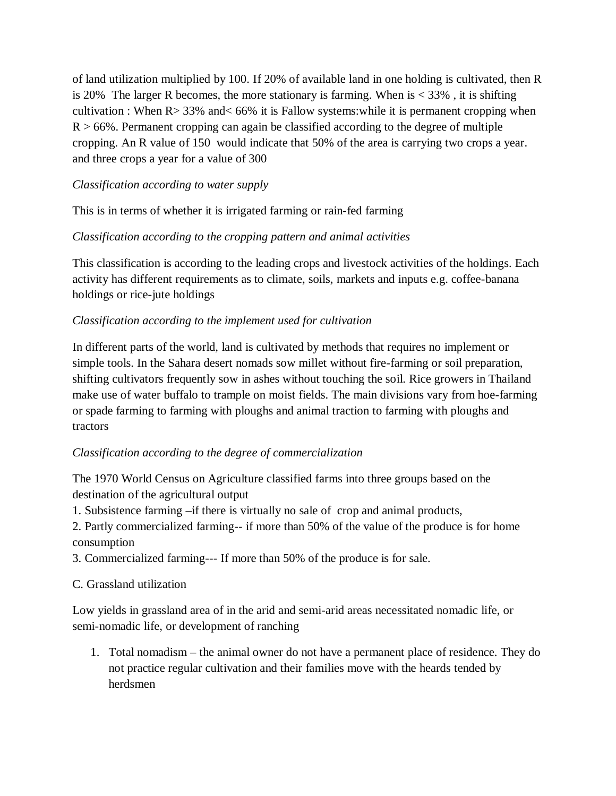of land utilization multiplied by 100. If 20% of available land in one holding is cultivated, then R is 20% The larger R becomes, the more stationary is farming. When  $is < 33\%$ , it is shifting cultivation : When  $R > 33\%$  and  $< 66\%$  it is Fallow systems: while it is permanent cropping when  $R > 66\%$ . Permanent cropping can again be classified according to the degree of multiple cropping. An R value of 150 would indicate that 50% of the area is carrying two crops a year. and three crops a year for a value of 300

## *Classification according to water supply*

This is in terms of whether it is irrigated farming or rain-fed farming

## *Classification according to the cropping pattern and animal activities*

This classification is according to the leading crops and livestock activities of the holdings. Each activity has different requirements as to climate, soils, markets and inputs e.g. coffee-banana holdings or rice-jute holdings

## *Classification according to the implement used for cultivation*

In different parts of the world, land is cultivated by methods that requires no implement or simple tools. In the Sahara desert nomads sow millet without fire-farming or soil preparation, shifting cultivators frequently sow in ashes without touching the soil. Rice growers in Thailand make use of water buffalo to trample on moist fields. The main divisions vary from hoe-farming or spade farming to farming with ploughs and animal traction to farming with ploughs and tractors

#### *Classification according to the degree of commercialization*

The 1970 World Census on Agriculture classified farms into three groups based on the destination of the agricultural output

1. Subsistence farming –if there is virtually no sale of crop and animal products,

2. Partly commercialized farming-- if more than 50% of the value of the produce is for home consumption

3. Commercialized farming--- If more than 50% of the produce is for sale.

## C. Grassland utilization

Low yields in grassland area of in the arid and semi-arid areas necessitated nomadic life, or semi-nomadic life, or development of ranching

1. Total nomadism – the animal owner do not have a permanent place of residence. They do not practice regular cultivation and their families move with the heards tended by herdsmen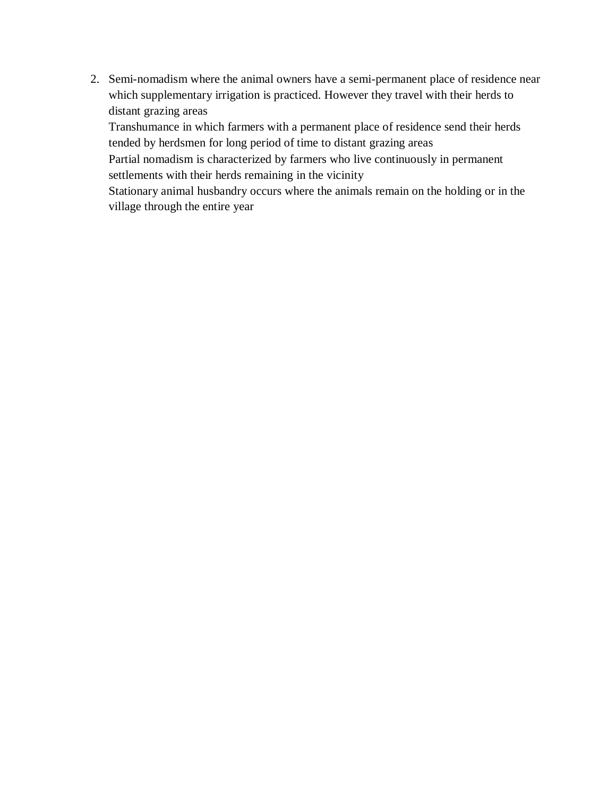2. Semi-nomadism where the animal owners have a semi-permanent place of residence near which supplementary irrigation is practiced. However they travel with their herds to distant grazing areas

Transhumance in which farmers with a permanent place of residence send their herds tended by herdsmen for long period of time to distant grazing areas

Partial nomadism is characterized by farmers who live continuously in permanent settlements with their herds remaining in the vicinity

Stationary animal husbandry occurs where the animals remain on the holding or in the village through the entire year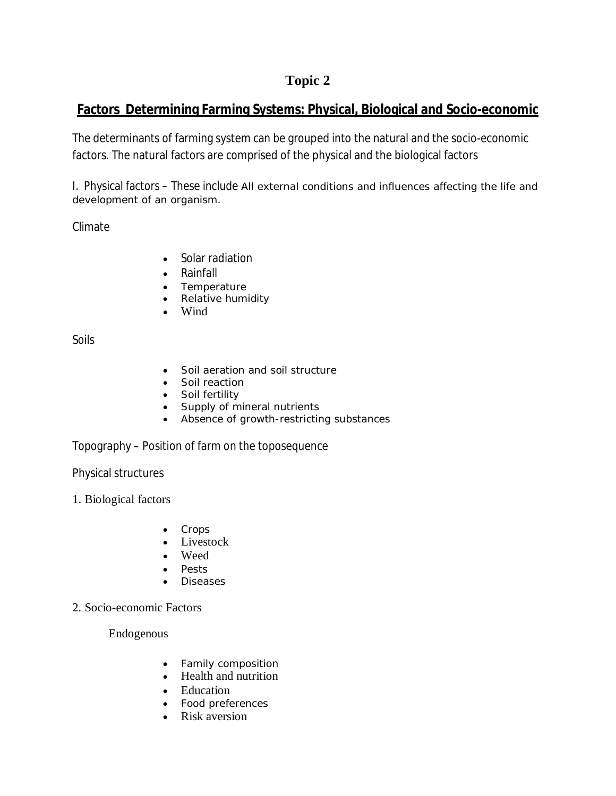# **Factors Determining Farming Systems: Physical, Biological and Socio-economic**

The determinants of farming system can be grouped into the natural and the socio-economic factors. The natural factors are comprised of the physical and the biological factors

I. Physical factors – These include All external conditions and influences affecting the life and development of an organism.

Climate

- Solar radiation
- Rainfall
- Temperature
- Relative humidity
- Wind

Soils

- Soil aeration and soil structure
- Soil reaction
- Soil fertility
- Supply of mineral nutrients
- Absence of growth-restricting substances

Topography – Position of farm on the toposequence

Physical structures

1. Biological factors

- Crops
- Livestock
- Weed
- Pests
- Diseases
- 2. Socio-economic Factors

Endogenous

- Family composition
- Health and nutrition
- Education
- Food preferences
- Risk aversion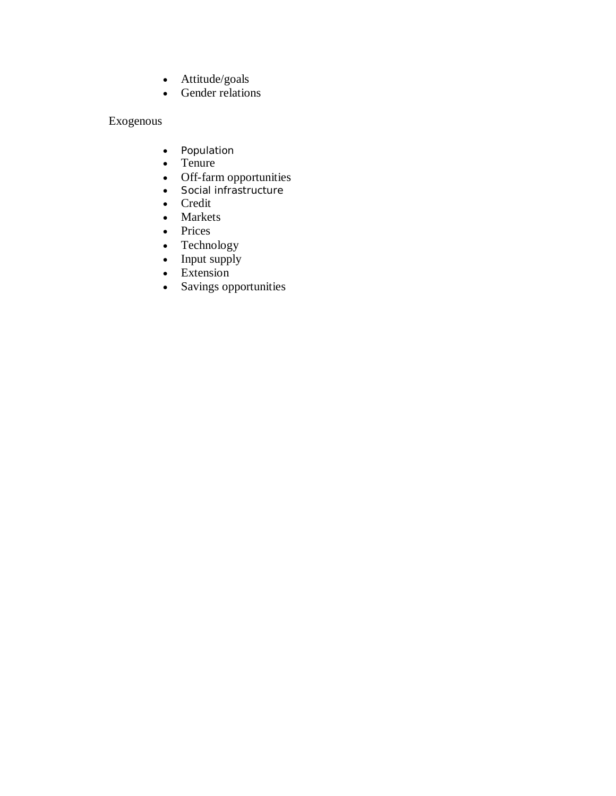- Attitude/goals
- Gender relations

## Exogenous

- Population
- Tenure
- Off-farm opportunities
- Social infrastructure
- Credit
- Markets
- Prices
- Technology
- $\bullet$  Input supply
- Extension
- Savings opportunities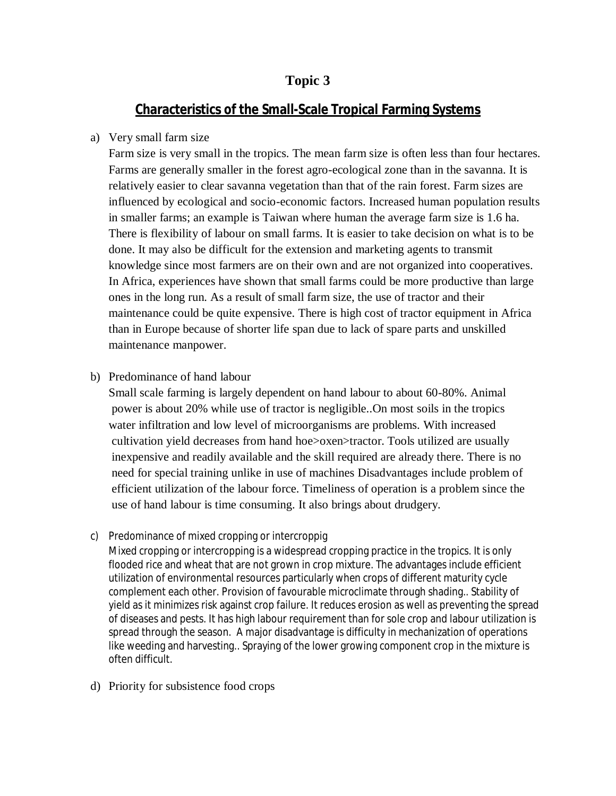## **Characteristics of the Small-Scale Tropical Farming Systems**

#### a) Very small farm size

Farm size is very small in the tropics. The mean farm size is often less than four hectares. Farms are generally smaller in the forest agro-ecological zone than in the savanna. It is relatively easier to clear savanna vegetation than that of the rain forest. Farm sizes are influenced by ecological and socio-economic factors. Increased human population results in smaller farms; an example is Taiwan where human the average farm size is 1.6 ha. There is flexibility of labour on small farms. It is easier to take decision on what is to be done. It may also be difficult for the extension and marketing agents to transmit knowledge since most farmers are on their own and are not organized into cooperatives. In Africa, experiences have shown that small farms could be more productive than large ones in the long run. As a result of small farm size, the use of tractor and their maintenance could be quite expensive. There is high cost of tractor equipment in Africa than in Europe because of shorter life span due to lack of spare parts and unskilled maintenance manpower.

b) Predominance of hand labour

Small scale farming is largely dependent on hand labour to about 60-80%. Animal power is about 20% while use of tractor is negligible..On most soils in the tropics water infiltration and low level of microorganisms are problems. With increased cultivation yield decreases from hand hoe>oxen>tractor. Tools utilized are usually inexpensive and readily available and the skill required are already there. There is no need for special training unlike in use of machines Disadvantages include problem of efficient utilization of the labour force. Timeliness of operation is a problem since the use of hand labour is time consuming. It also brings about drudgery.

c) Predominance of mixed cropping or intercroppig

Mixed cropping or intercropping is a widespread cropping practice in the tropics. It is only flooded rice and wheat that are not grown in crop mixture. The advantages include efficient utilization of environmental resources particularly when crops of different maturity cycle complement each other. Provision of favourable microclimate through shading.. Stability of yield as it minimizes risk against crop failure. It reduces erosion as well as preventing the spread of diseases and pests. It has high labour requirement than for sole crop and labour utilization is spread through the season. A major disadvantage is difficulty in mechanization of operations like weeding and harvesting.. Spraying of the lower growing component crop in the mixture is often difficult.

d) Priority for subsistence food crops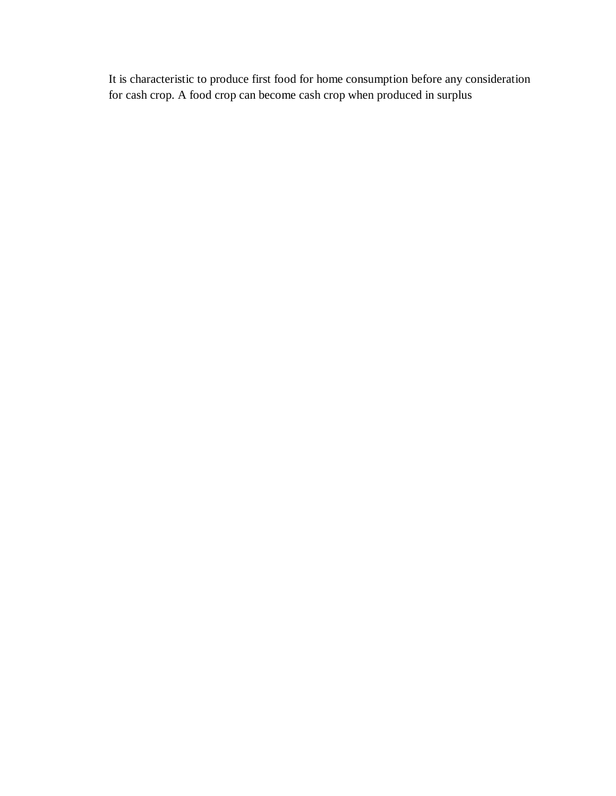It is characteristic to produce first food for home consumption before any consideration for cash crop. A food crop can become cash crop when produced in surplus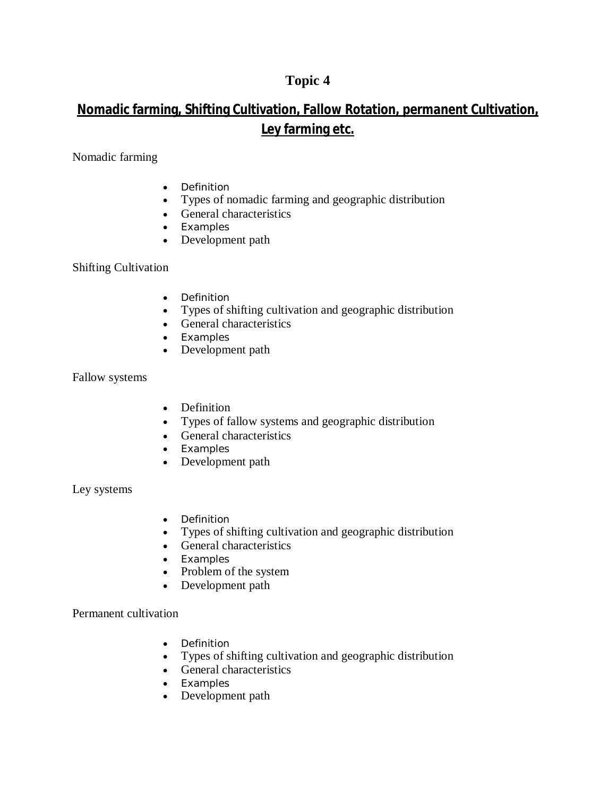# **Nomadic farming, Shifting Cultivation, Fallow Rotation, permanent Cultivation, Ley farming etc.**

Nomadic farming

- Definition
- Types of nomadic farming and geographic distribution
- General characteristics
- Examples
- Development path

Shifting Cultivation

- Definition
- Types of shifting cultivation and geographic distribution
- General characteristics
- Examples
- Development path

Fallow systems

- Definition
- Types of fallow systems and geographic distribution
- General characteristics
- Examples
- Development path

Ley systems

- Definition
- Types of shifting cultivation and geographic distribution
- General characteristics
- Examples
- Problem of the system
- Development path

Permanent cultivation

- Definition
- Types of shifting cultivation and geographic distribution
- General characteristics
- Examples
- Development path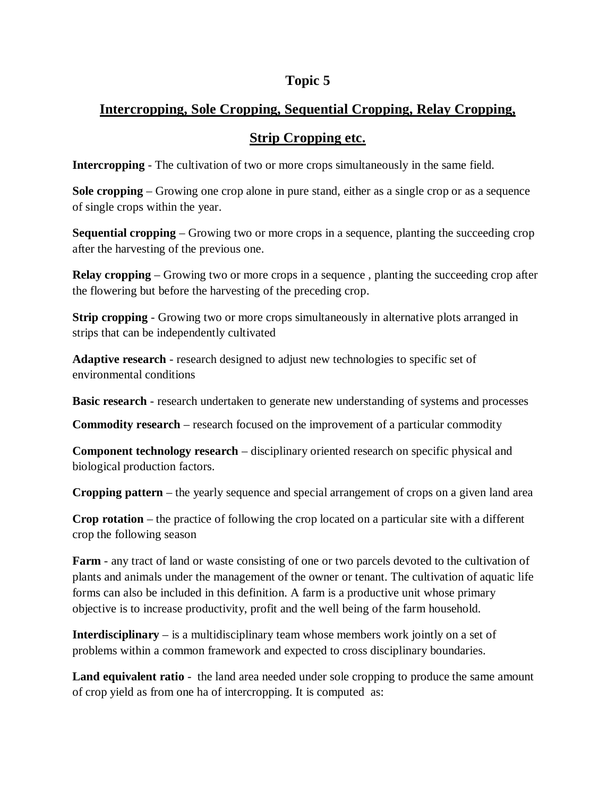# **Intercropping, Sole Cropping, Sequential Cropping, Relay Cropping,**

## **Strip Cropping etc.**

**Intercropping** - The cultivation of two or more crops simultaneously in the same field.

**Sole cropping** – Growing one crop alone in pure stand, either as a single crop or as a sequence of single crops within the year.

**Sequential cropping** – Growing two or more crops in a sequence, planting the succeeding crop after the harvesting of the previous one.

**Relay cropping** – Growing two or more crops in a sequence, planting the succeeding crop after the flowering but before the harvesting of the preceding crop.

**Strip cropping** - Growing two or more crops simultaneously in alternative plots arranged in strips that can be independently cultivated

**Adaptive research** - research designed to adjust new technologies to specific set of environmental conditions

**Basic research** - research undertaken to generate new understanding of systems and processes

**Commodity research** – research focused on the improvement of a particular commodity

**Component technology research** – disciplinary oriented research on specific physical and biological production factors.

**Cropping pattern** – the yearly sequence and special arrangement of crops on a given land area

**Crop rotation** – the practice of following the crop located on a particular site with a different crop the following season

**Farm** - any tract of land or waste consisting of one or two parcels devoted to the cultivation of plants and animals under the management of the owner or tenant. The cultivation of aquatic life forms can also be included in this definition. A farm is a productive unit whose primary objective is to increase productivity, profit and the well being of the farm household.

**Interdisciplinary** – is a multidisciplinary team whose members work jointly on a set of problems within a common framework and expected to cross disciplinary boundaries.

**Land equivalent ratio** - the land area needed under sole cropping to produce the same amount of crop yield as from one ha of intercropping. It is computed as: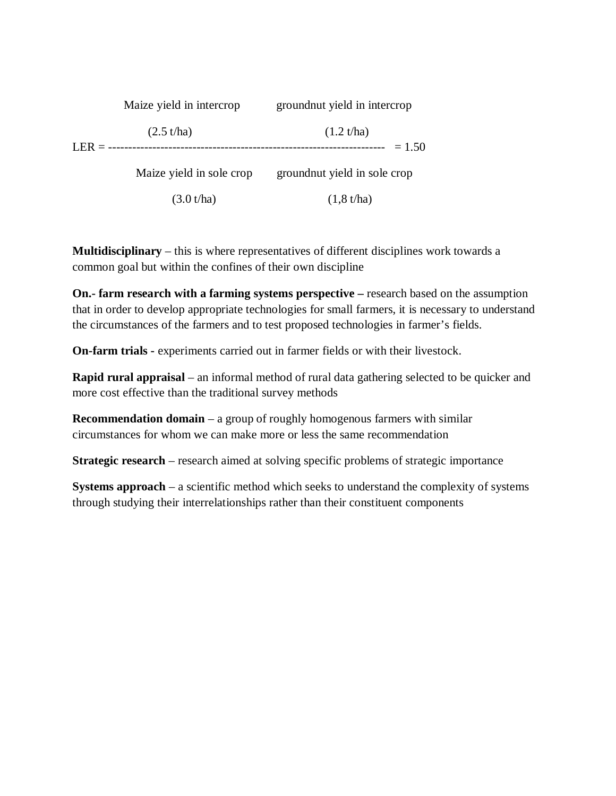| $LER = -$ | Maize yield in intercrop | ground nut yield in intercrop |
|-----------|--------------------------|-------------------------------|
|           | (2.5 t/ha)               | (1.2 t/ha)<br>$= 1.50$        |
|           | Maize yield in sole crop | ground nut yield in sole crop |
|           | (3.0 t/ha)               | (1, 8 t/ha)                   |

**Multidisciplinary** – this is where representatives of different disciplines work towards a common goal but within the confines of their own discipline

**On.- farm research with a farming systems perspective –** research based on the assumption that in order to develop appropriate technologies for small farmers, it is necessary to understand the circumstances of the farmers and to test proposed technologies in farmer's fields.

**On-farm trials -** experiments carried out in farmer fields or with their livestock.

**Rapid rural appraisal** – an informal method of rural data gathering selected to be quicker and more cost effective than the traditional survey methods

**Recommendation domain** – a group of roughly homogenous farmers with similar circumstances for whom we can make more or less the same recommendation

**Strategic research** – research aimed at solving specific problems of strategic importance

**Systems approach** – a scientific method which seeks to understand the complexity of systems through studying their interrelationships rather than their constituent components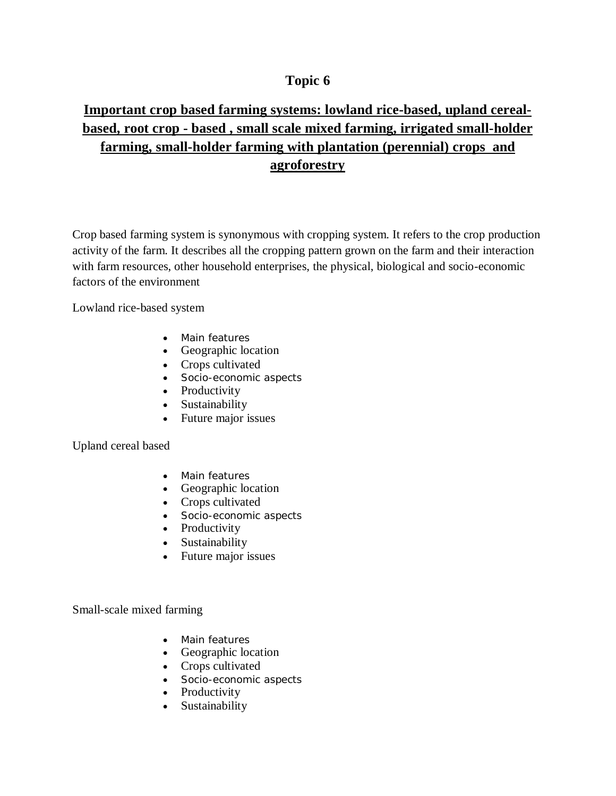# **Important crop based farming systems: lowland rice-based, upland cerealbased, root crop - based , small scale mixed farming, irrigated small-holder farming, small-holder farming with plantation (perennial) crops and agroforestry**

Crop based farming system is synonymous with cropping system. It refers to the crop production activity of the farm. It describes all the cropping pattern grown on the farm and their interaction with farm resources, other household enterprises, the physical, biological and socio-economic factors of the environment

Lowland rice-based system

- Main features
- Geographic location
- Crops cultivated
- Socio-economic aspects
- Productivity
- Sustainability
- Future major issues

Upland cereal based

- Main features
- Geographic location
- Crops cultivated
- Socio-economic aspects
- Productivity
- Sustainability
- Future major issues

Small-scale mixed farming

- Main features
- Geographic location
- Crops cultivated
- Socio-economic aspects
- Productivity
- Sustainability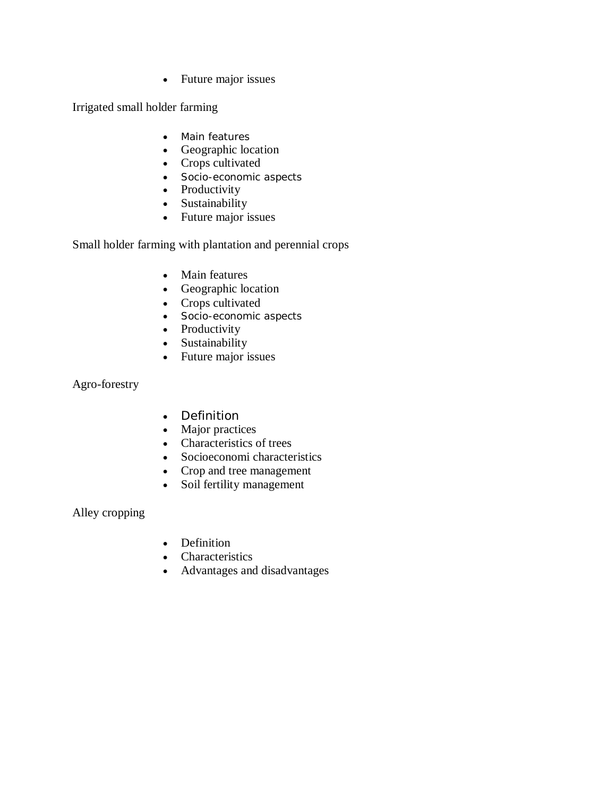• Future major issues

Irrigated small holder farming

- Main features
- Geographic location
- Crops cultivated
- Socio-economic aspects
- Productivity
- Sustainability
- Future major issues

Small holder farming with plantation and perennial crops

- Main features
- Geographic location
- Crops cultivated
- Socio-economic aspects
- Productivity
- Sustainability
- Future major issues

Agro-forestry

- Definition
- Major practices
- Characteristics of trees
- Socioeconomi characteristics
- Crop and tree management
- Soil fertility management

Alley cropping

- Definition
- Characteristics
- Advantages and disadvantages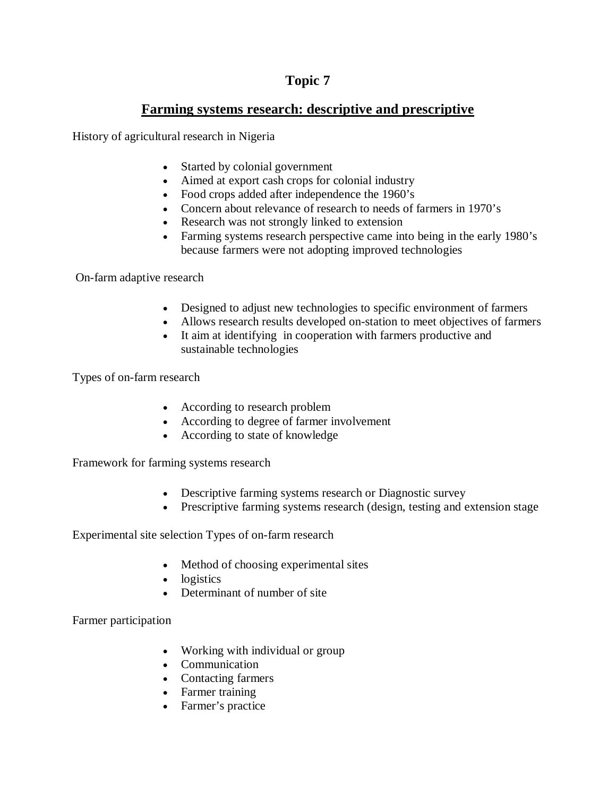## **Farming systems research: descriptive and prescriptive**

History of agricultural research in Nigeria

- Started by colonial government
- Aimed at export cash crops for colonial industry
- Food crops added after independence the 1960's
- Concern about relevance of research to needs of farmers in 1970's
- Research was not strongly linked to extension
- Farming systems research perspective came into being in the early 1980's because farmers were not adopting improved technologies

On-farm adaptive research

- Designed to adjust new technologies to specific environment of farmers
- Allows research results developed on-station to meet objectives of farmers
- It aim at identifying in cooperation with farmers productive and sustainable technologies

Types of on-farm research

- According to research problem
- According to degree of farmer involvement
- According to state of knowledge

Framework for farming systems research

- Descriptive farming systems research or Diagnostic survey
- Prescriptive farming systems research (design, testing and extension stage

Experimental site selection Types of on-farm research

- Method of choosing experimental sites
- logistics
- Determinant of number of site

Farmer participation

- Working with individual or group
- Communication
- Contacting farmers
- Farmer training
- Farmer's practice